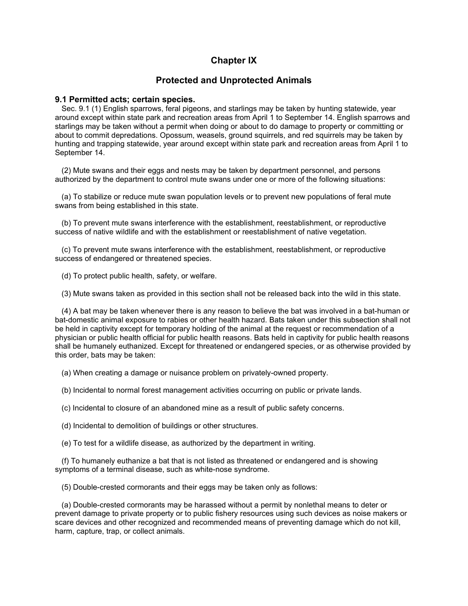# **Chapter IX**

# **Protected and Unprotected Animals**

# **9.1 Permitted acts; certain species.**

Sec. 9.1 (1) English sparrows, feral pigeons, and starlings may be taken by hunting statewide, year around except within state park and recreation areas from April 1 to September 14. English sparrows and starlings may be taken without a permit when doing or about to do damage to property or committing or about to commit depredations. Opossum, weasels, ground squirrels, and red squirrels may be taken by hunting and trapping statewide, year around except within state park and recreation areas from April 1 to September 14.

(2) Mute swans and their eggs and nests may be taken by department personnel, and persons authorized by the department to control mute swans under one or more of the following situations:

(a) To stabilize or reduce mute swan population levels or to prevent new populations of feral mute swans from being established in this state.

(b) To prevent mute swans interference with the establishment, reestablishment, or reproductive success of native wildlife and with the establishment or reestablishment of native vegetation.

(c) To prevent mute swans interference with the establishment, reestablishment, or reproductive success of endangered or threatened species.

(d) To protect public health, safety, or welfare.

(3) Mute swans taken as provided in this section shall not be released back into the wild in this state.

(4) A bat may be taken whenever there is any reason to believe the bat was involved in a bat-human or bat-domestic animal exposure to rabies or other health hazard. Bats taken under this subsection shall not be held in captivity except for temporary holding of the animal at the request or recommendation of a physician or public health official for public health reasons. Bats held in captivity for public health reasons shall be humanely euthanized. Except for threatened or endangered species, or as otherwise provided by this order, bats may be taken:

(a) When creating a damage or nuisance problem on privately-owned property.

(b) Incidental to normal forest management activities occurring on public or private lands.

(c) Incidental to closure of an abandoned mine as a result of public safety concerns.

(d) Incidental to demolition of buildings or other structures.

(e) To test for a wildlife disease, as authorized by the department in writing.

(f) To humanely euthanize a bat that is not listed as threatened or endangered and is showing symptoms of a terminal disease, such as white-nose syndrome.

(5) Double-crested cormorants and their eggs may be taken only as follows:

(a) Double-crested cormorants may be harassed without a permit by nonlethal means to deter or prevent damage to private property or to public fishery resources using such devices as noise makers or scare devices and other recognized and recommended means of preventing damage which do not kill, harm, capture, trap, or collect animals.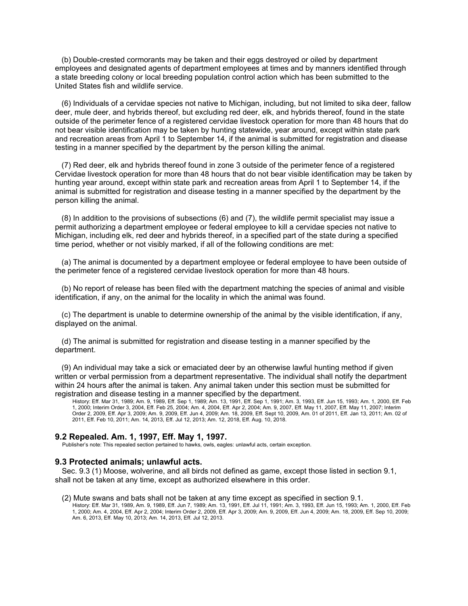(b) Double-crested cormorants may be taken and their eggs destroyed or oiled by department employees and designated agents of department employees at times and by manners identified through a state breeding colony or local breeding population control action which has been submitted to the United States fish and wildlife service.

(6) Individuals of a cervidae species not native to Michigan, including, but not limited to sika deer, fallow deer, mule deer, and hybrids thereof, but excluding red deer, elk, and hybrids thereof, found in the state outside of the perimeter fence of a registered cervidae livestock operation for more than 48 hours that do not bear visible identification may be taken by hunting statewide, year around, except within state park and recreation areas from April 1 to September 14, if the animal is submitted for registration and disease testing in a manner specified by the department by the person killing the animal.

(7) Red deer, elk and hybrids thereof found in zone 3 outside of the perimeter fence of a registered Cervidae livestock operation for more than 48 hours that do not bear visible identification may be taken by hunting year around, except within state park and recreation areas from April 1 to September 14, if the animal is submitted for registration and disease testing in a manner specified by the department by the person killing the animal.

(8) In addition to the provisions of subsections (6) and (7), the wildlife permit specialist may issue a permit authorizing a department employee or federal employee to kill a cervidae species not native to Michigan, including elk, red deer and hybrids thereof, in a specified part of the state during a specified time period, whether or not visibly marked, if all of the following conditions are met:

(a) The animal is documented by a department employee or federal employee to have been outside of the perimeter fence of a registered cervidae livestock operation for more than 48 hours.

(b) No report of release has been filed with the department matching the species of animal and visible identification, if any, on the animal for the locality in which the animal was found.

(c) The department is unable to determine ownership of the animal by the visible identification, if any, displayed on the animal.

(d) The animal is submitted for registration and disease testing in a manner specified by the department.

(9) An individual may take a sick or emaciated deer by an otherwise lawful hunting method if given written or verbal permission from a department representative. The individual shall notify the department within 24 hours after the animal is taken. Any animal taken under this section must be submitted for registration and disease testing in a manner specified by the department.

History: Eff. Mar 31, 1989; Am. 9, 1989, Eff. Sep 1, 1989; Am. 13, 1991, Eff. Sep 1, 1991; Am. 3, 1993, Eff. Jun 15, 1993; Am. 1, 2000, Eff. Feb 1, 2000; Interim Order 3, 2004, Eff. Feb 25, 2004; Am. 4, 2004, Eff. Apr 2, 2004; Am. 9, 2007, Eff. May 11, 2007, Eff. May 11, 2007; Interim Order 2, 2009, Eff. Apr 3, 2009; Am. 9, 2009, Eff. Jun 4, 2009; Am. 18, 2009, Eff. Sept 10, 2009, Am. 01 of 2011, Eff. Jan 13, 2011; Am. 02 of 2011, Eff. Feb 10, 2011; Am. 14, 2013, Eff. Jul 12, 2013; Am. 12, 2018, Eff. Aug. 10, 2018.

# **9.2 Repealed. Am. 1, 1997, Eff. May 1, 1997.**

Publisher's note: This repealed section pertained to hawks, owls, eagles: unlawful acts, certain exception.

### **9.3 Protected animals; unlawful acts.**

Sec. 9.3 (1) Moose, wolverine, and all birds not defined as game, except those listed in section 9.1, shall not be taken at any time, except as authorized elsewhere in this order.

#### (2) Mute swans and bats shall not be taken at any time except as specified in section 9.1.

History: Eff. Mar 31, 1989, Am. 9, 1989, Eff. Jun 7, 1989; Am. 13, 1991, Eff. Jul 11, 1991; Am. 3, 1993, Eff. Jun 15, 1993; Am. 1, 2000, Eff. Feb 1, 2000; Am. 4, 2004, Eff. Apr 2, 2004; Interim Order 2, 2009, Eff. Apr 3, 2009; Am. 9, 2009, Eff. Jun 4, 2009; Am. 18, 2009, Eff. Sep 10, 2009; Am. 6, 2013, Eff. May 10, 2013; Am. 14, 2013, Eff. Jul 12, 2013.